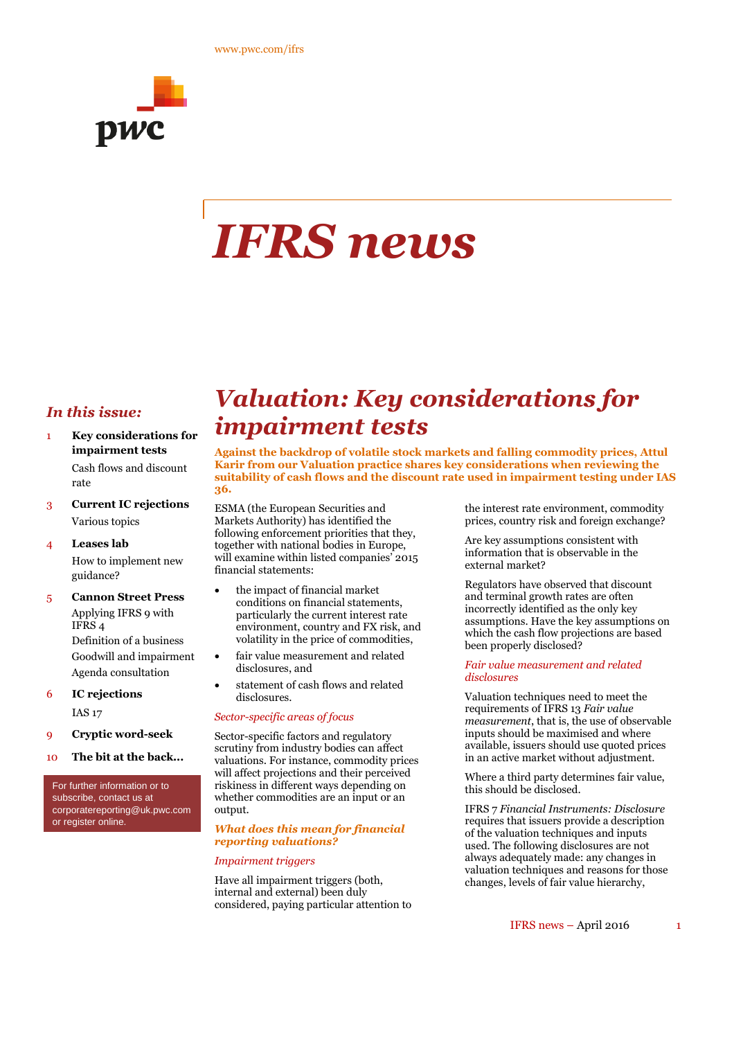

# *IFRS news*

#### *In this issue:*

- 1 **Key considerations for impairment tests** Cash flows and discount rate
- 3 **Current IC rejections** Various topics
- 4 **Leases lab** How to implement new guidance?
- 5 **Cannon Street Press** Applying IFRS 9 with IFRS 4 Definition of a business Goodwill and impairment Agenda consultation
- 6 **IC rejections** IAS 17
- 9 **Cryptic word-seek**
- 10 **The bit at the back...**

For further information or to subscribe, contact us at corporatereporting@uk.pwc.com or register online.

### *Valuation: Key considerations for impairment tests*

**Against the backdrop of volatile stock markets and falling commodity prices, Attul Karir from our Valuation practice shares key considerations when reviewing the suitability of cash flows and the discount rate used in impairment testing under IAS 36.**

ESMA (the European Securities and Markets Authority) has identified the following enforcement priorities that they, together with national bodies in Europe, will examine within listed companies' 2015 financial statements:

- the impact of financial market conditions on financial statements, particularly the current interest rate environment, country and FX risk, and volatility in the price of commodities,
- fair value measurement and related disclosures, and
- statement of cash flows and related disclosures.

#### *Sector-specific areas of focus*

Sector-specific factors and regulatory scrutiny from industry bodies can affect valuations. For instance, commodity prices will affect projections and their perceived riskiness in different ways depending on whether commodities are an input or an output.

#### *What does this mean for financial reporting valuations?*

#### *Impairment triggers*

Have all impairment triggers (both, internal and external) been duly considered, paying particular attention to

the interest rate environment, commodity prices, country risk and foreign exchange?

Are key assumptions consistent with information that is observable in the external market?

Regulators have observed that discount and terminal growth rates are often incorrectly identified as the only key assumptions. Have the key assumptions on which the cash flow projections are based been properly disclosed?

#### *Fair value measurement and related disclosures*

Valuation techniques need to meet the requirements of IFRS 13 *Fair value measurement*, that is, the use of observable inputs should be maximised and where available, issuers should use quoted prices in an active market without adjustment.

Where a third party determines fair value, this should be disclosed.

IFRS 7 *Financial Instruments: Disclosure* requires that issuers provide a description of the valuation techniques and inputs used. The following disclosures are not always adequately made: any changes in valuation techniques and reasons for those changes, levels of fair value hierarchy,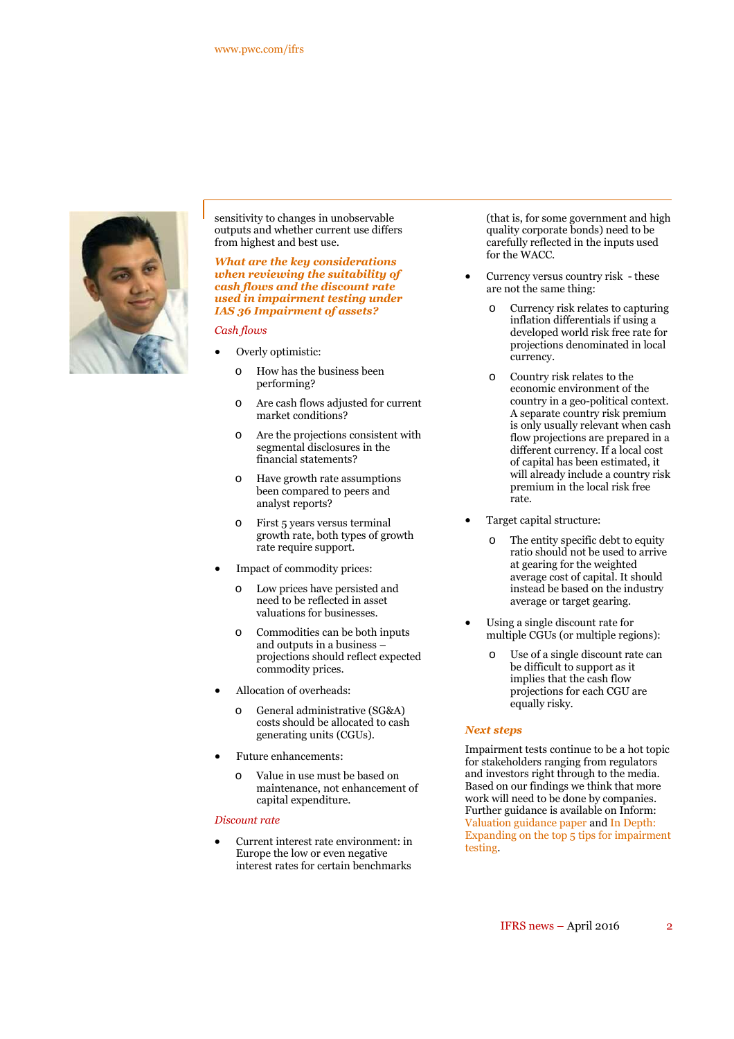

sensitivity to changes in unobservable outputs and whether current use differs from highest and best use.

#### *What are the key considerations when reviewing the suitability of cash flows and the discount rate used in impairment testing under IAS 36 Impairment of assets?*

*Cash flows*

- Overly optimistic:
	- o How has the business been performing?
	- o Are cash flows adjusted for current market conditions?
	- o Are the projections consistent with segmental disclosures in the financial statements?
	- o Have growth rate assumptions been compared to peers and analyst reports?
	- o First 5 years versus terminal growth rate, both types of growth rate require support.
- Impact of commodity prices:
	- Low prices have persisted and need to be reflected in asset valuations for businesses.
	- Commodities can be both inputs and outputs in a business – projections should reflect expected commodity prices.
- Allocation of overheads:
	- o General administrative (SG&A) costs should be allocated to cash generating units (CGUs).
- Future enhancements:
	- o Value in use must be based on maintenance, not enhancement of capital expenditure.

#### *Discount rate*

 Current interest rate environment: in Europe the low or even negative interest rates for certain benchmarks

(that is, for some government and high quality corporate bonds) need to be carefully reflected in the inputs used for the WACC.

- Currency versus country risk these are not the same thing:
	- o Currency risk relates to capturing inflation differentials if using a developed world risk free rate for projections denominated in local currency.
	- o Country risk relates to the economic environment of the country in a geo-political context. A separate country risk premium is only usually relevant when cash flow projections are prepared in a different currency. If a local cost of capital has been estimated, it will already include a country risk premium in the local risk free rate.
- Target capital structure:
	- o The entity specific debt to equity ratio should not be used to arrive at gearing for the weighted average cost of capital. It should instead be based on the industry average or target gearing.
- Using a single discount rate for multiple CGUs (or multiple regions):
	- o Use of a single discount rate can be difficult to support as it implies that the cash flow projections for each CGU are equally risky.

#### *Next steps*

Impairment tests continue to be a hot topic for stakeholders ranging from regulators and investors right through to the media. Based on our findings we think that more work will need to be done by companies. Further guidance is available on Inform: Valuation guidance paper and In Depth: Expanding on the top 5 tips for impairment testing.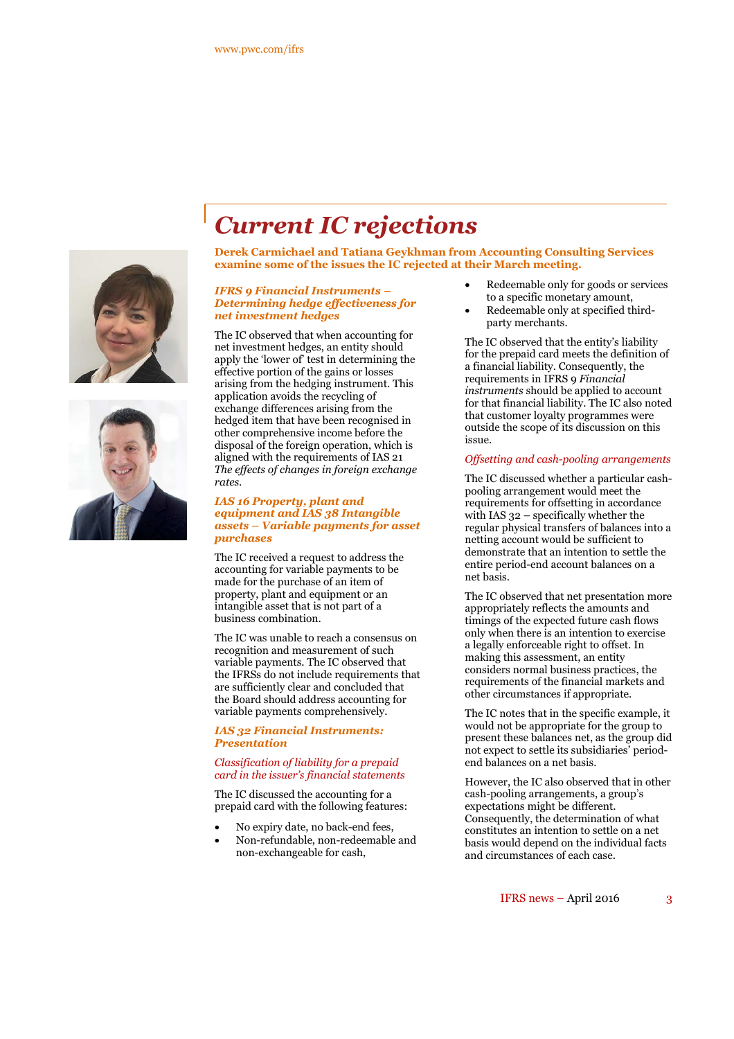



## *Current IC rejections*

**Derek Carmichael and Tatiana Geykhman from Accounting Consulting Services examine some of the issues the IC rejected at their March meeting.**

#### *IFRS 9 Financial Instruments – Determining hedge effectiveness for net investment hedges*

The IC observed that when accounting for net investment hedges, an entity should apply the 'lower of' test in determining the effective portion of the gains or losses arising from the hedging instrument. This application avoids the recycling of exchange differences arising from the hedged item that have been recognised in other comprehensive income before the disposal of the foreign operation, which is aligned with the requirements of IAS 21 *The effects of changes in foreign exchange rates*.

#### *IAS 16 Property, plant and equipment and IAS 38 Intangible assets – Variable payments for asset purchases*

The IC received a request to address the accounting for variable payments to be made for the purchase of an item of property, plant and equipment or an intangible asset that is not part of a business combination.

The IC was unable to reach a consensus on recognition and measurement of such variable payments. The IC observed that the IFRSs do not include requirements that are sufficiently clear and concluded that the Board should address accounting for variable payments comprehensively.

#### *IAS 32 Financial Instruments: Presentation*

#### *Classification of liability for a prepaid card in the issuer's financial statements*

The IC discussed the accounting for a prepaid card with the following features:

- No expiry date, no back-end fees,
- Non-refundable, non-redeemable and non-exchangeable for cash,
- Redeemable only for goods or services to a specific monetary amount,
- Redeemable only at specified thirdparty merchants.

The IC observed that the entity's liability for the prepaid card meets the definition of a financial liability. Consequently, the requirements in IFRS 9 *Financial instruments* should be applied to account for that financial liability. The IC also noted that customer loyalty programmes were outside the scope of its discussion on this issue.

#### *Offsetting and cash-pooling arrangements*

The IC discussed whether a particular cashpooling arrangement would meet the requirements for offsetting in accordance with IAS 32 – specifically whether the regular physical transfers of balances into a netting account would be sufficient to demonstrate that an intention to settle the entire period-end account balances on a net basis.

The IC observed that net presentation more appropriately reflects the amounts and timings of the expected future cash flows only when there is an intention to exercise a legally enforceable right to offset. In making this assessment, an entity considers normal business practices, the requirements of the financial markets and other circumstances if appropriate.

The IC notes that in the specific example, it would not be appropriate for the group to present these balances net, as the group did not expect to settle its subsidiaries' periodend balances on a net basis.

However, the IC also observed that in other cash-pooling arrangements, a group's expectations might be different. Consequently, the determination of what constitutes an intention to settle on a net basis would depend on the individual facts and circumstances of each case.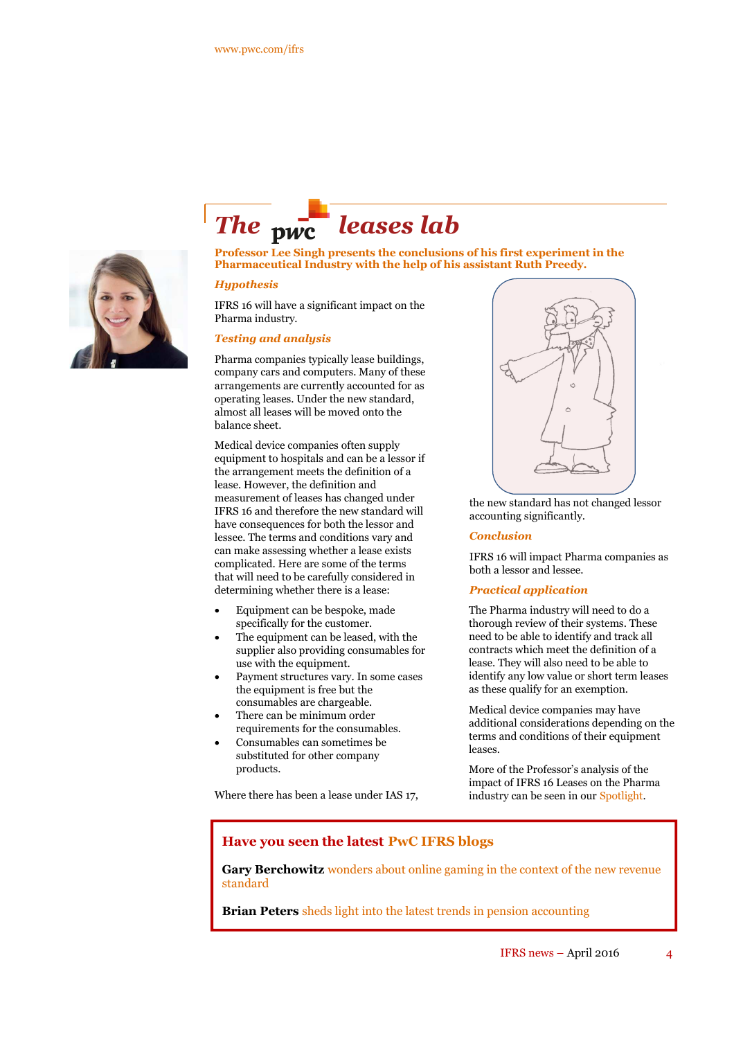

## The <sub>pwc</sub> leases lab

**Professor Lee Singh presents the conclusions of his first experiment in the Pharmaceutical Industry with the help of his assistant Ruth Preedy.**

#### *Hypothesis*

IFRS 16 will have a significant impact on the Pharma industry.

#### *Testing and analysis*

Pharma companies typically lease buildings, company cars and computers. Many of these arrangements are currently accounted for as operating leases. Under the new standard, almost all leases will be moved onto the balance sheet.

Medical device companies often supply equipment to hospitals and can be a lessor if the arrangement meets the definition of a lease. However, the definition and measurement of leases has changed under IFRS 16 and therefore the new standard will have consequences for both the lessor and lessee. The terms and conditions vary and can make assessing whether a lease exists complicated. Here are some of the terms that will need to be carefully considered in determining whether there is a lease:

- Equipment can be bespoke, made specifically for the customer.
- The equipment can be leased, with the supplier also providing consumables for use with the equipment.
- Payment structures vary. In some cases the equipment is free but the consumables are chargeable.
- There can be minimum order requirements for the consumables.
- Consumables can sometimes be substituted for other company products.

Where there has been a lease under IAS 17,



the new standard has not changed lessor accounting significantly.

#### *Conclusion*

IFRS 16 will impact Pharma companies as both a lessor and lessee.

#### *Practical application*

The Pharma industry will need to do a thorough review of their systems. These need to be able to identify and track all contracts which meet the definition of a lease. They will also need to be able to identify any low value or short term leases as these qualify for an exemption.

Medical device companies may have additional considerations depending on the terms and conditions of their equipment leases.

More of the Professor's analysis of the impact of IFRS 16 Leases on the Pharma industry can be seen in our Spotlight.

#### **Have you seen the latest PwC IFRS blogs**

Gary Berchowitz wonders about online gaming in the context of the new revenue standard

**Brian Peters** sheds light into the latest trends in pension accounting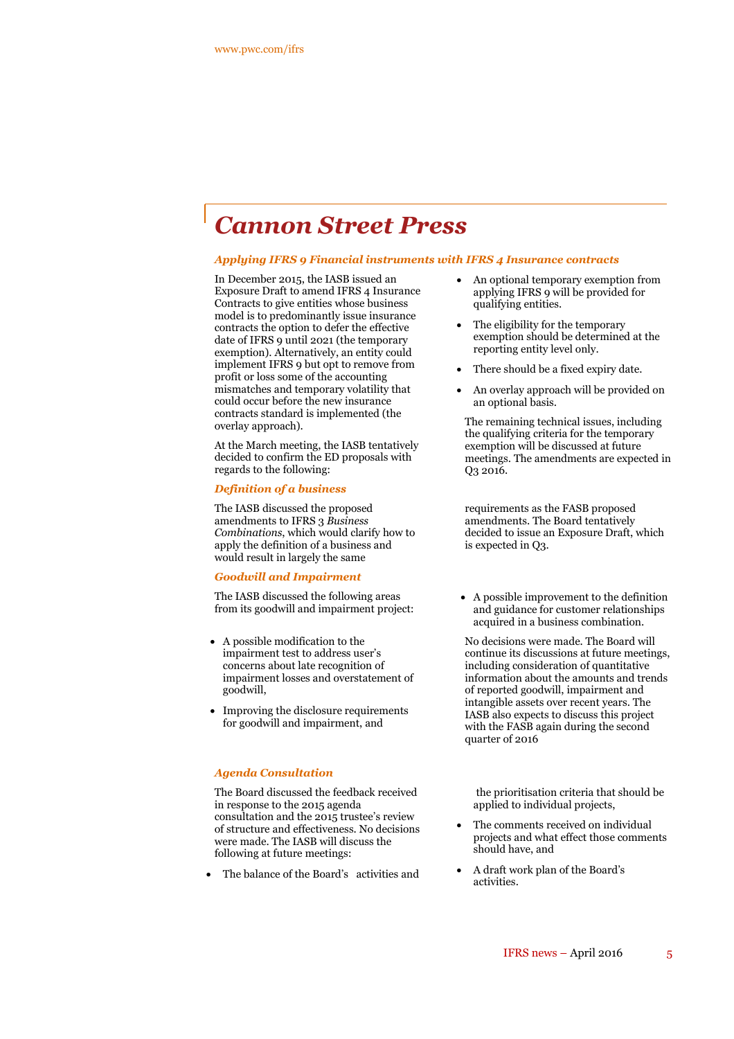### *Cannon Street Press*

#### *Applying IFRS 9 Financial instruments with IFRS 4 Insurance contracts*

In December 2015, the IASB issued an Exposure Draft to amend IFRS 4 Insurance Contracts to give entities whose business model is to predominantly issue insurance contracts the option to defer the effective date of IFRS 9 until 2021 (the temporary exemption). Alternatively, an entity could implement IFRS 9 but opt to remove from profit or loss some of the accounting mismatches and temporary volatility that could occur before the new insurance contracts standard is implemented (the overlay approach).

At the March meeting, the IASB tentatively decided to confirm the ED proposals with regards to the following:

#### *Definition of a business*

The IASB discussed the proposed amendments to IFRS 3 *Business Combinations*, which would clarify how to apply the definition of a business and would result in largely the same

#### *Goodwill and Impairment*

The IASB discussed the following areas from its goodwill and impairment project:

- A possible modification to the impairment test to address user's concerns about late recognition of impairment losses and overstatement of goodwill,
- Improving the disclosure requirements for goodwill and impairment, and

#### *Agenda Consultation*

The Board discussed the feedback received in response to the 2015 agenda consultation and the 2015 trustee's review of structure and effectiveness. No decisions were made. The IASB will discuss the following at future meetings:

The balance of the Board's activities and

- An optional temporary exemption from applying IFRS 9 will be provided for qualifying entities.
- The eligibility for the temporary exemption should be determined at the reporting entity level only.
- There should be a fixed expiry date.
- An overlay approach will be provided on an optional basis.

The remaining technical issues, including the qualifying criteria for the temporary exemption will be discussed at future meetings. The amendments are expected in Q3 2016.

requirements as the FASB proposed amendments. The Board tentatively decided to issue an Exposure Draft, which is expected in Q3.

 A possible improvement to the definition and guidance for customer relationships acquired in a business combination.

No decisions were made. The Board will continue its discussions at future meetings, including consideration of quantitative information about the amounts and trends of reported goodwill, impairment and intangible assets over recent years. The IASB also expects to discuss this project with the FASB again during the second quarter of 2016

the prioritisation criteria that should be applied to individual projects,

- The comments received on individual projects and what effect those comments should have, and
- A draft work plan of the Board's activities.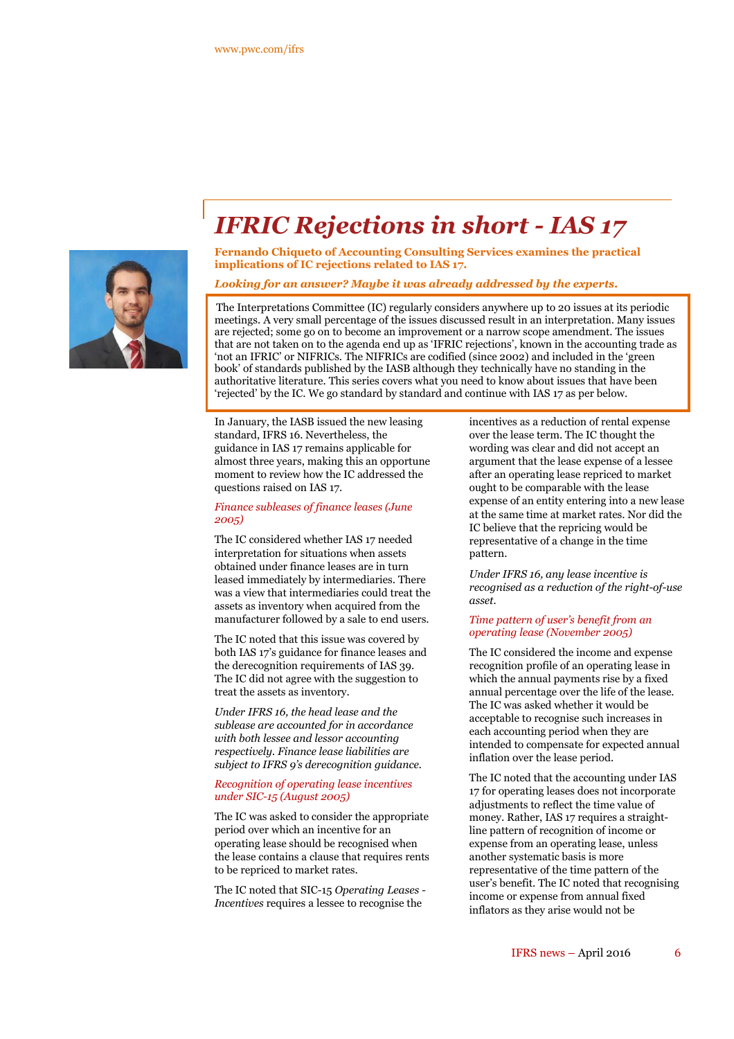

## *IFRIC Rejections in short - IAS 17*

**Fernando Chiqueto of Accounting Consulting Services examines the practical implications of IC rejections related to IAS 17.**

#### *Looking for an answer? Maybe it was already addressed by the experts.*

The Interpretations Committee (IC) regularly considers anywhere up to 20 issues at its periodic meetings. A very small percentage of the issues discussed result in an interpretation. Many issues are rejected; some go on to become an improvement or a narrow scope amendment. The issues that are not taken on to the agenda end up as 'IFRIC rejections', known in the accounting trade as 'not an IFRIC' or NIFRICs. The NIFRICs are codified (since 2002) and included in the 'green book' of standards published by the IASB although they technically have no standing in the authoritative literature. This series covers what you need to know about issues that have been 'rejected' by the IC. We go standard by standard and continue with IAS 17 as per below.

In January, the IASB issued the new leasing standard, IFRS 16. Nevertheless, the guidance in IAS 17 remains applicable for almost three years, making this an opportune moment to review how the IC addressed the questions raised on IAS 17.

#### *Finance subleases of finance leases (June 2005)*

The IC considered whether IAS 17 needed interpretation for situations when assets obtained under finance leases are in turn leased immediately by intermediaries. There was a view that intermediaries could treat the assets as inventory when acquired from the manufacturer followed by a sale to end users.

The IC noted that this issue was covered by both IAS 17's guidance for finance leases and the derecognition requirements of IAS 39. The IC did not agree with the suggestion to treat the assets as inventory.

*Under IFRS 16, the head lease and the sublease are accounted for in accordance with both lessee and lessor accounting respectively. Finance lease liabilities are subject to IFRS 9's derecognition guidance.*

#### *Recognition of operating lease incentives under SIC-15 (August 2005)*

The IC was asked to consider the appropriate period over which an incentive for an operating lease should be recognised when the lease contains a clause that requires rents to be repriced to market rates.

The IC noted that SIC-15 *Operating Leases - Incentives* requires a lessee to recognise the

incentives as a reduction of rental expense over the lease term. The IC thought the wording was clear and did not accept an argument that the lease expense of a lessee after an operating lease repriced to market ought to be comparable with the lease expense of an entity entering into a new lease at the same time at market rates. Nor did the IC believe that the repricing would be representative of a change in the time pattern.

*Under IFRS 16, any lease incentive is recognised as a reduction of the right-of-use asset.*

#### *Time pattern of user's benefit from an operating lease (November 2005)*

The IC considered the income and expense recognition profile of an operating lease in which the annual payments rise by a fixed annual percentage over the life of the lease. The IC was asked whether it would be acceptable to recognise such increases in each accounting period when they are intended to compensate for expected annual inflation over the lease period.

The IC noted that the accounting under IAS 17 for operating leases does not incorporate adjustments to reflect the time value of money. Rather, IAS 17 requires a straightline pattern of recognition of income or expense from an operating lease, unless another systematic basis is more representative of the time pattern of the user's benefit. The IC noted that recognising income or expense from annual fixed inflators as they arise would not be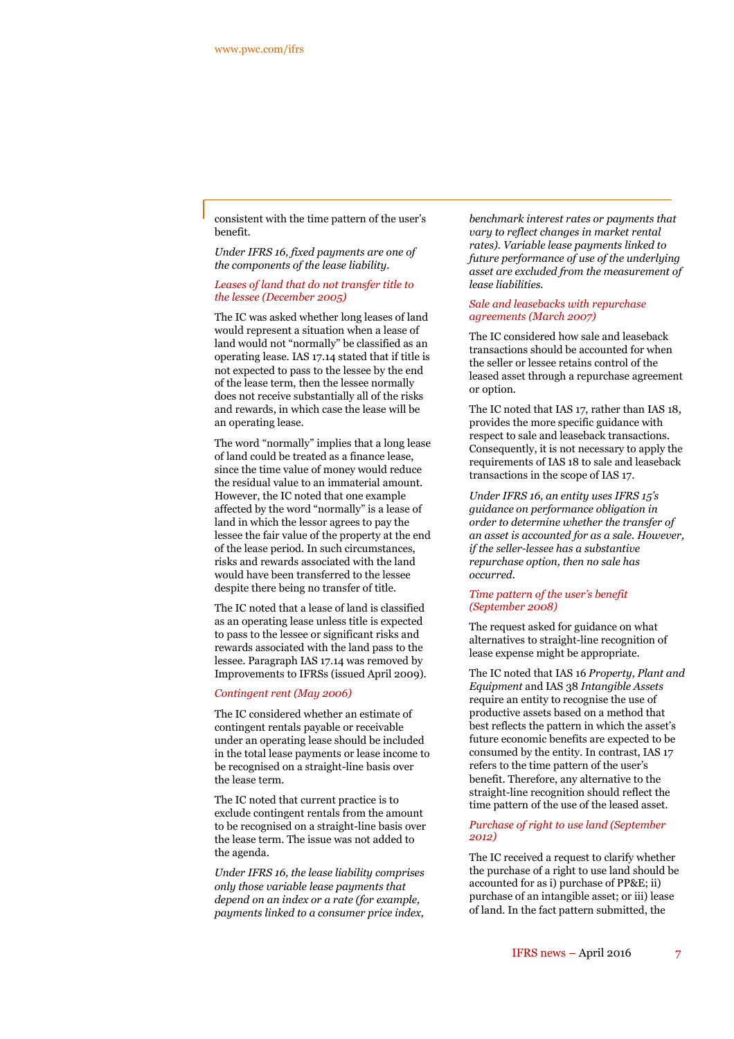consistent with the time pattern of the user's benefit.

*Under IFRS 16, fixed payments are one of the components of the lease liability.*

*Leases of land that do not transfer title to the lessee (December 2005)*

The IC was asked whether long leases of land would represent a situation when a lease of land would not "normally" be classified as an operating lease. IAS 17.14 stated that if title is not expected to pass to the lessee by the end of the lease term, then the lessee normally does not receive substantially all of the risks and rewards, in which case the lease will be an operating lease.

The word "normally" implies that a long lease of land could be treated as a finance lease, since the time value of money would reduce the residual value to an immaterial amount. However, the IC noted that one example affected by the word "normally" is a lease of land in which the lessor agrees to pay the lessee the fair value of the property at the end of the lease period. In such circumstances, risks and rewards associated with the land would have been transferred to the lessee despite there being no transfer of title.

The IC noted that a lease of land is classified as an operating lease unless title is expected to pass to the lessee or significant risks and rewards associated with the land pass to the lessee. Paragraph IAS 17.14 was removed by Improvements to IFRSs (issued April 2009).

#### *Contingent rent (May 2006)*

The IC considered whether an estimate of contingent rentals payable or receivable under an operating lease should be included in the total lease payments or lease income to be recognised on a straight-line basis over the lease term.

The IC noted that current practice is to exclude contingent rentals from the amount to be recognised on a straight-line basis over the lease term. The issue was not added to the agenda.

*Under IFRS 16, the lease liability comprises only those variable lease payments that depend on an index or a rate (for example, payments linked to a consumer price index,*

*benchmark interest rates or payments that vary to reflect changes in market rental rates). Variable lease payments linked to future performance of use of the underlying asset are excluded from the measurement of lease liabilities.*

#### *Sale and leasebacks with repurchase agreements (March 2007)*

The IC considered how sale and leaseback transactions should be accounted for when the seller or lessee retains control of the leased asset through a repurchase agreement or option.

The IC noted that IAS 17, rather than IAS 18, provides the more specific guidance with respect to sale and leaseback transactions. Consequently, it is not necessary to apply the requirements of IAS 18 to sale and leaseback transactions in the scope of IAS 17.

*Under IFRS 16, an entity uses IFRS 15's guidance on performance obligation in order to determine whether the transfer of an asset is accounted for as a sale. However, if the seller-lessee has a substantive repurchase option, then no sale has occurred.*

#### *Time pattern of the user's benefit (September 2008)*

The request asked for guidance on what alternatives to straight-line recognition of lease expense might be appropriate.

The IC noted that IAS 16 *Property, Plant and Equipment* and IAS 38 *Intangible Assets* require an entity to recognise the use of productive assets based on a method that best reflects the pattern in which the asset's future economic benefits are expected to be consumed by the entity. In contrast, IAS 17 refers to the time pattern of the user's benefit. Therefore, any alternative to the straight-line recognition should reflect the time pattern of the use of the leased asset.

#### *Purchase of right to use land (September 2012)*

The IC received a request to clarify whether the purchase of a right to use land should be accounted for as i) purchase of PP&E; ii) purchase of an intangible asset; or iii) lease of land. In the fact pattern submitted, the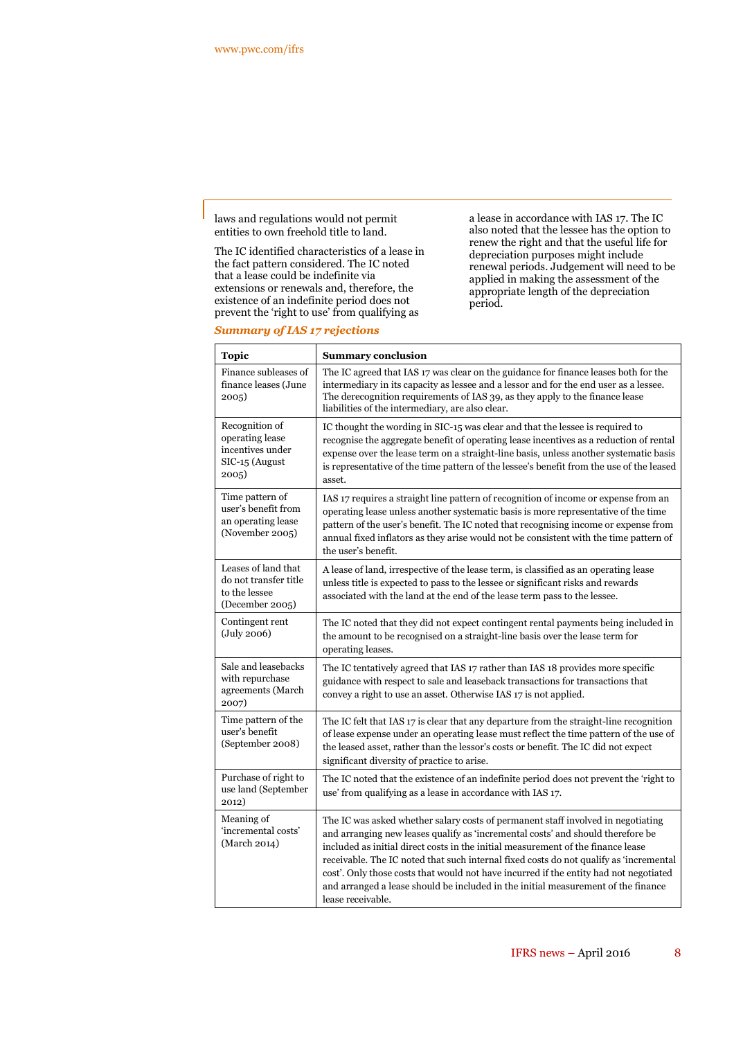laws and regulations would not permit entities to own freehold title to land.

The IC identified characteristics of a lease in the fact pattern considered. The IC noted that a lease could be indefinite via extensions or renewals and, therefore, the existence of an indefinite period does not prevent the 'right to use' from qualifying as

a lease in accordance with IAS 17. The IC also noted that the lessee has the option to renew the right and that the useful life for depreciation purposes might include renewal periods. Judgement will need to be applied in making the assessment of the appropriate length of the depreciation period.

#### *Summary of IAS 17 rejections*

| <b>Topic</b>                                                                     | <b>Summary conclusion</b>                                                                                                                                                                                                                                                                                                                                                                                                                                                                                                                            |  |  |  |  |  |  |  |  |
|----------------------------------------------------------------------------------|------------------------------------------------------------------------------------------------------------------------------------------------------------------------------------------------------------------------------------------------------------------------------------------------------------------------------------------------------------------------------------------------------------------------------------------------------------------------------------------------------------------------------------------------------|--|--|--|--|--|--|--|--|
| Finance subleases of<br>finance leases (June<br>2005)                            | The IC agreed that IAS 17 was clear on the guidance for finance leases both for the<br>intermediary in its capacity as lessee and a lessor and for the end user as a lessee.<br>The derecognition requirements of IAS 39, as they apply to the finance lease<br>liabilities of the intermediary, are also clear.                                                                                                                                                                                                                                     |  |  |  |  |  |  |  |  |
| Recognition of<br>operating lease<br>incentives under<br>SIC-15 (August<br>2005) | IC thought the wording in SIC-15 was clear and that the lessee is required to<br>recognise the aggregate benefit of operating lease incentives as a reduction of rental<br>expense over the lease term on a straight-line basis, unless another systematic basis<br>is representative of the time pattern of the lessee's benefit from the use of the leased<br>asset.                                                                                                                                                                               |  |  |  |  |  |  |  |  |
| Time pattern of<br>user's benefit from<br>an operating lease<br>(November 2005)  | IAS 17 requires a straight line pattern of recognition of income or expense from an<br>operating lease unless another systematic basis is more representative of the time<br>pattern of the user's benefit. The IC noted that recognising income or expense from<br>annual fixed inflators as they arise would not be consistent with the time pattern of<br>the user's benefit.                                                                                                                                                                     |  |  |  |  |  |  |  |  |
| Leases of land that<br>do not transfer title<br>to the lessee<br>(December 2005) | A lease of land, irrespective of the lease term, is classified as an operating lease<br>unless title is expected to pass to the lessee or significant risks and rewards<br>associated with the land at the end of the lease term pass to the lessee.                                                                                                                                                                                                                                                                                                 |  |  |  |  |  |  |  |  |
| Contingent rent<br>(July 2006)                                                   | The IC noted that they did not expect contingent rental payments being included in<br>the amount to be recognised on a straight-line basis over the lease term for<br>operating leases.                                                                                                                                                                                                                                                                                                                                                              |  |  |  |  |  |  |  |  |
| Sale and leasebacks<br>with repurchase<br>agreements (March<br>2007)             | The IC tentatively agreed that IAS 17 rather than IAS 18 provides more specific<br>guidance with respect to sale and leaseback transactions for transactions that<br>convey a right to use an asset. Otherwise IAS 17 is not applied.                                                                                                                                                                                                                                                                                                                |  |  |  |  |  |  |  |  |
| Time pattern of the<br>user's benefit<br>(September 2008)                        | The IC felt that IAS 17 is clear that any departure from the straight-line recognition<br>of lease expense under an operating lease must reflect the time pattern of the use of<br>the leased asset, rather than the lessor's costs or benefit. The IC did not expect<br>significant diversity of practice to arise.                                                                                                                                                                                                                                 |  |  |  |  |  |  |  |  |
| Purchase of right to<br>use land (September<br>2012)                             | The IC noted that the existence of an indefinite period does not prevent the 'right to<br>use' from qualifying as a lease in accordance with IAS 17.                                                                                                                                                                                                                                                                                                                                                                                                 |  |  |  |  |  |  |  |  |
| Meaning of<br>'incremental costs'<br>(March 2014)                                | The IC was asked whether salary costs of permanent staff involved in negotiating<br>and arranging new leases qualify as 'incremental costs' and should therefore be<br>included as initial direct costs in the initial measurement of the finance lease<br>receivable. The IC noted that such internal fixed costs do not qualify as 'incremental<br>cost'. Only those costs that would not have incurred if the entity had not negotiated<br>and arranged a lease should be included in the initial measurement of the finance<br>lease receivable. |  |  |  |  |  |  |  |  |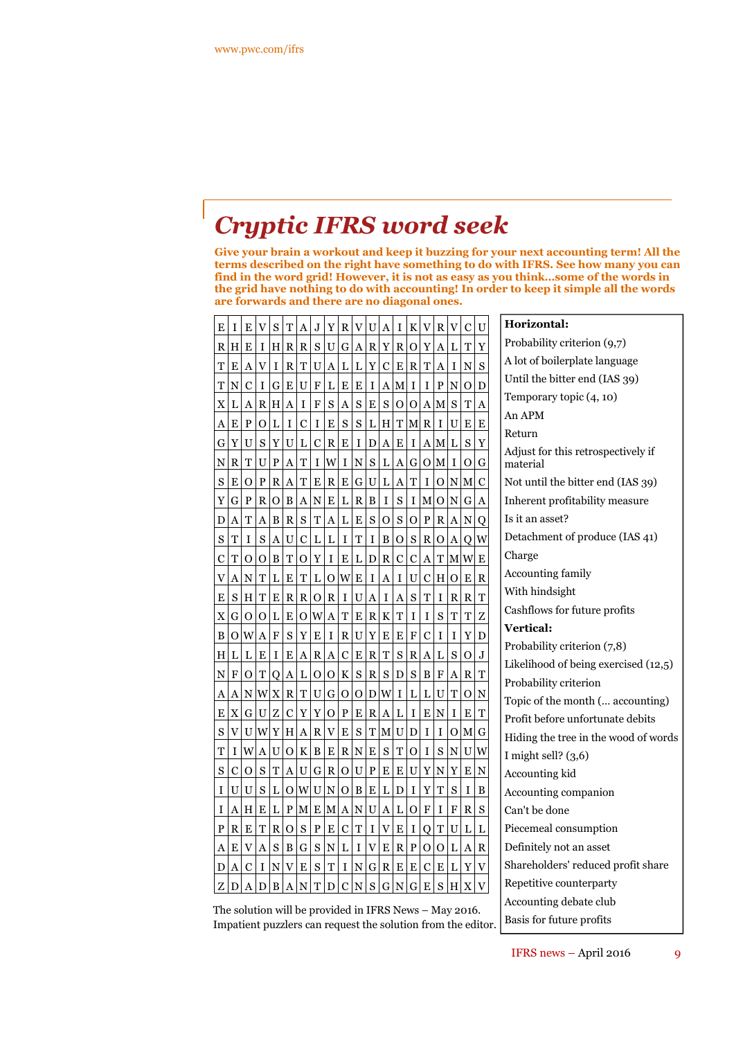## *Cryptic IFRS word seek*

**Give your brain a workout and keep it buzzing for your next accounting term! All the terms described on the right have something to do with IFRS. See how many you can find in the word grid! However, it is not as easy as you think…some of the words in the grid have nothing to do with accounting! In order to keep it simple all the words are forwards and there are no diagonal ones.**

**Horizontal:**

| Е | I | Е | V | S | Τ | A | J | Y | R | V | U | A | I | K | V | R | V | С | U |
|---|---|---|---|---|---|---|---|---|---|---|---|---|---|---|---|---|---|---|---|
| R | Η | E | I | Η | R | R | S | U | G | Α | R | Y | R | О | Y | A | L | T | Y |
| Τ | E | A | V | I | R | Т | U | A | L | L | Y | C | E | R | T | A | I | N | S |
| T | N | C | I | G | E | U | F | L | E | E | I | A | М | I | 1 | P | N | О | D |
| X | L | A | R | Н | A | I | F | S | A | S | E | S | O | О | Α | Μ | S | T | A |
| A | E | P | О | L | I | C | I | E | S | S | L | Н | T | М | R | I | U | E | E |
| G | Y | U | S | Y | U | L | C | R | E | I | D | A | E | I | A | Μ | L | S | Y |
| N | R | T | U | P | A | Τ | I | W | I | N | S | L | A | G | О | M | I | О | G |
| S | E | О | P | R | A | Τ | E | R | E | G | U | L | A | T | I | О | N | М | С |
| Y | G | P | R | О | B | A | N | E | L | R | B | I | S | I | Μ | 0 | N | G | A |
| D | A | T | A | B | R | S | Τ | A | L | E | S | 0 | S | О | P | R | A | N | Q |
| S | Τ | I | S | A | U | C | L | L | I | T | I | B | О | S | R | о | A | Q | W |
| C | T | 0 | О | B | Т | О | Y | I | E | L | D | R | C | C | A | T | Μ | W | E |
| V | A | N | T | L | Е | Т | L | 0 | W | E | I | A | I | U | C | Н | Ω | E | R |
| E | S | н | T | E | R | R | О | R | I | U | A | I | A | S | T | I | R | R | T |
| X | G | О | 0 | L | Е | O | W | A | Τ | E | R | K | T | I | I | S | T | T | Z |
| B | О | W | A | F | S | Y | E | I | R | U | Y | E | E | F | C | I | I | Y | D |
| Н | L | L | E | I | E | A | R | A | C | E | R | T | S | R | Α | L | S | 0 | J |
| N | F | О | T | Q | A | L | О | О | K | S | R | S | D | S | B | F | A | R | T |
| A | A | N | W | X | R | Τ | U | G | О | О | D | W | I | L | L | U | T | О | N |
| E | X | G | U | Z | C | Y | Y | о | P | E | R | A | L | I | E | N | I | E | T |
| S | V | U | W | Y | Н | A | R | V | E | S | T | М | U | D | Ι | I | О | Μ | G |
| Τ | I | W | A | U | О | K | B | Ε | R | N | E | S | T | О | I | S | N | U | W |
| S | C | О | S | T | A | U | G | R | О | U | P | E | E | U | Y | N | Y | E | N |
| I | U | U | S | L | О | W | U | N | Ω | B | E | L | D | I | Y | T | S | I | B |
| I | A | н | E | L | P | Μ | E | м | A | N | U | A | L | O | F | I | F | R | S |
| P | R | E | T | R | O | S | P | E | C | T | I | V | E | I | О | T | U | L | L |
| A | E | V | A | S | B | G | S | N | L | I | V | E | R | P | O | O | L | Α | R |
| D | A | C | I | N | V | E | S | T | I | N | G | R | E | E | C | E | L | Y | V |
| Z | D | A | D | B | A | N | Τ | D | C | N | S | G | N | G | E | S | Н | X |   |

Probability criterion (9,7) A lot of boilerplate language Until the bitter end (IAS 39) Temporary topic (4, 10) An APM Return Adjust for this retrospectively if material Not until the bitter end (IAS 39) Inherent profitability measure Is it an asset? Detachment of produce (IAS 41) Charge Accounting family With hindsight Cashflows for future profits **Vertical:** Probability criterion (7,8) Likelihood of being exercised (12,5) Probability criterion Topic of the month (… accounting) Profit before unfortunate debits Hiding the tree in the wood of words I might sell? (3,6) Accounting kid Accounting companion Can't be done Piecemeal consumption Definitely not an asset Shareholders' reduced profit share Repetitive counterparty Accounting debate club Basis for future profits

The solution will be provided in IFRS News – May 2016. Impatient puzzlers can request the solution from the editor.